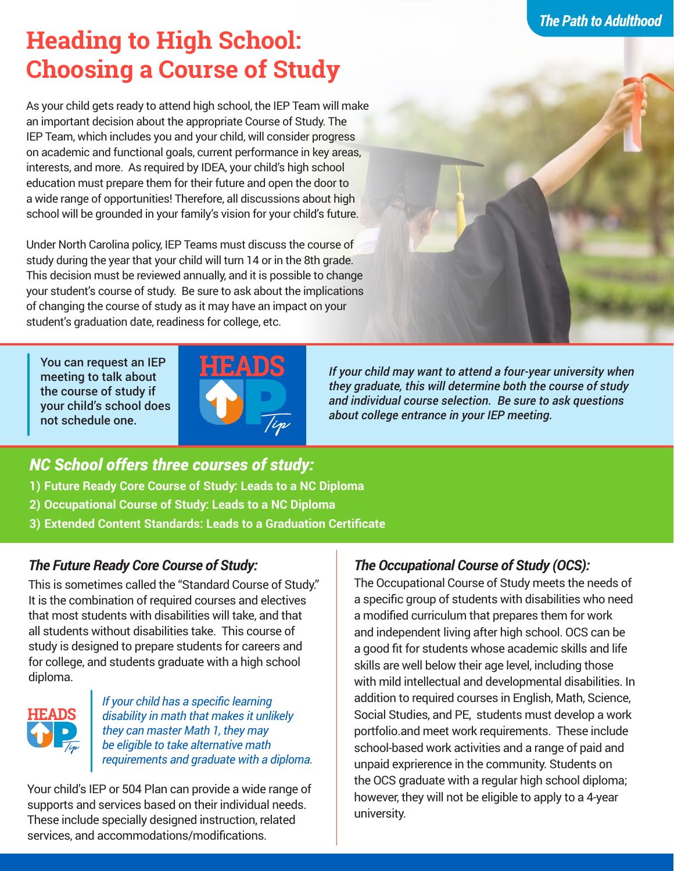# **Heading to High School: Choosing a Course of Study**

As your child gets ready to attend high school, the IEP Team will make an important decision about the appropriate Course of Study. The IEP Team, which includes you and your child, will consider progress on academic and functional goals, current performance in key areas, interests, and more. As required by IDEA, your child's high school education must prepare them for their future and open the door to a wide range of opportunities! Therefore, all discussions about high school will be grounded in your family's vision for your child's future.

Under North Carolina policy, IEP Teams must discuss the course of study during the year that your child will turn 14 or in the 8th grade. This decision must be reviewed annually, and it is possible to change your student's course of study. Be sure to ask about the implications of changing the course of study as it may have an impact on your student's graduation date, readiness for college, etc.

You can request an IEP meeting to talk about the course of study if your child's school does not schedule one.



*If your child may want to attend a four-year university when they graduate, this will determine both the course of study and individual course selection. Be sure to ask questions about college entrance in your IEP meeting.* 

## *NC School offers three courses of study:*

- **1) Future Ready Core Course of Study: Leads to a NC Diploma**
- **2) Occupational Course of Study: Leads to a NC Diploma**
- **3) Extended Content Standards: Leads to a Graduation Certificate**

## *The Future Ready Core Course of Study:*

This is sometimes called the "Standard Course of Study." It is the combination of required courses and electives that most students with disabilities will take, and that all students without disabilities take. This course of study is designed to prepare students for careers and for college, and students graduate with a high school diploma.



*If your child has a specific learning disability in math that makes it unlikely they can master Math 1, they may be eligible to take alternative math requirements and graduate with a diploma.*

Your child's IEP or 504 Plan can provide a wide range of supports and services based on their individual needs. These include specially designed instruction, related services, and accommodations/modifications.

## *The Occupational Course of Study (OCS):*

The Occupational Course of Study meets the needs of a specific group of students with disabilities who need a modified curriculum that prepares them for work and independent living after high school. OCS can be a good fit for students whose academic skills and life skills are well below their age level, including those with mild intellectual and developmental disabilities. In addition to required courses in English, Math, Science, Social Studies, and PE, students must develop a work portfolio.and meet work requirements. These include school-based work activities and a range of paid and unpaid exprierence in the community. Students on the OCS graduate with a regular high school diploma; however, they will not be eligible to apply to a 4-year university.